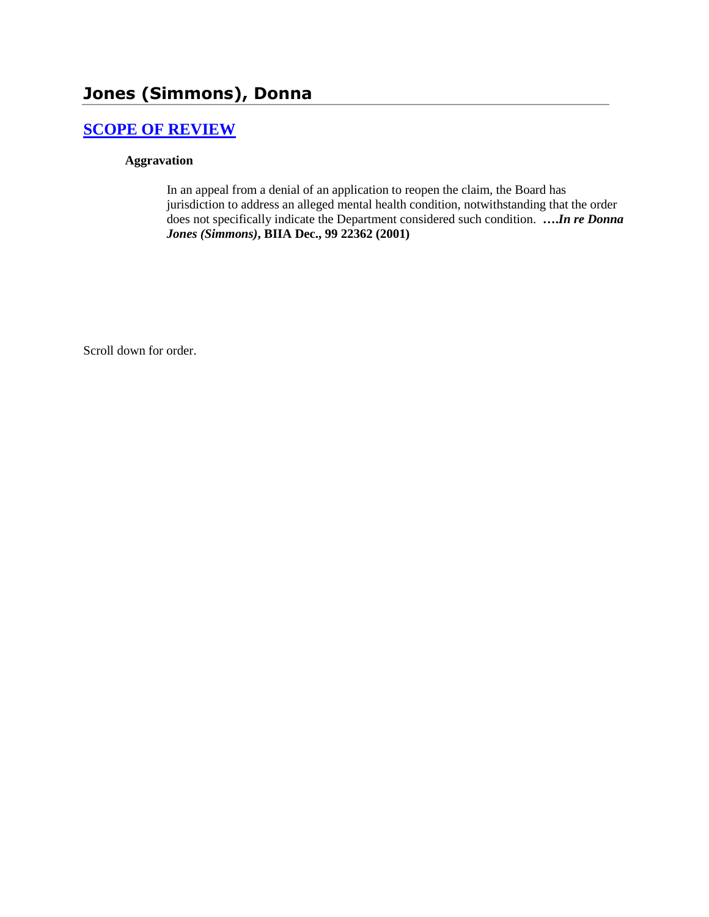# **Jones (Simmons), Donna**

## **[SCOPE OF REVIEW](http://www.biia.wa.gov/SDSubjectIndex.html#SCOPE_OF_REVIEW)**

#### **Aggravation**

In an appeal from a denial of an application to reopen the claim, the Board has jurisdiction to address an alleged mental health condition, notwithstanding that the order does not specifically indicate the Department considered such condition. **….***In re Donna Jones (Simmons)***, BIIA Dec., 99 22362 (2001)** 

Scroll down for order.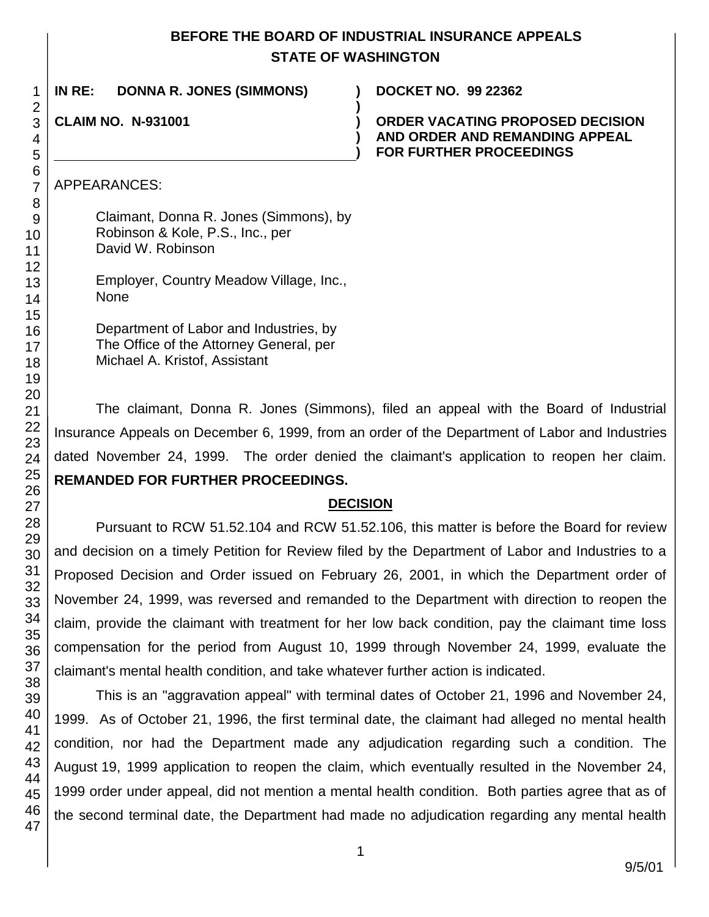### **BEFORE THE BOARD OF INDUSTRIAL INSURANCE APPEALS STATE OF WASHINGTON**

| IN RE:<br><b>DONNA R. JONES (SIMMONS)</b> | <b>DOCKET NO. 99 22362</b>                                                                                  |
|-------------------------------------------|-------------------------------------------------------------------------------------------------------------|
| <b>CLAIM NO. N-931001</b>                 | <b>ORDER VACATING PROPOSED DECISION</b><br>AND ORDER AND REMANDING APPEAL<br><b>FOR FURTHER PROCEEDINGS</b> |
| APPEARANCES:                              |                                                                                                             |
| Claimant, Donna R. Jones (Simmons), by    |                                                                                                             |

Department of Labor and Industries, by The Office of the Attorney General, per Michael A. Kristof, Assistant

Robinson & Kole, P.S., Inc., per

Employer, Country Meadow Village, Inc.,

David W. Robinson

None

The claimant, Donna R. Jones (Simmons), filed an appeal with the Board of Industrial Insurance Appeals on December 6, 1999, from an order of the Department of Labor and Industries dated November 24, 1999. The order denied the claimant's application to reopen her claim. **REMANDED FOR FURTHER PROCEEDINGS.**

### **DECISION**

Pursuant to RCW 51.52.104 and RCW 51.52.106, this matter is before the Board for review and decision on a timely Petition for Review filed by the Department of Labor and Industries to a Proposed Decision and Order issued on February 26, 2001, in which the Department order of November 24, 1999, was reversed and remanded to the Department with direction to reopen the claim, provide the claimant with treatment for her low back condition, pay the claimant time loss compensation for the period from August 10, 1999 through November 24, 1999, evaluate the claimant's mental health condition, and take whatever further action is indicated.

This is an "aggravation appeal" with terminal dates of October 21, 1996 and November 24, 1999. As of October 21, 1996, the first terminal date, the claimant had alleged no mental health condition, nor had the Department made any adjudication regarding such a condition. The August 19, 1999 application to reopen the claim, which eventually resulted in the November 24, 1999 order under appeal, did not mention a mental health condition. Both parties agree that as of the second terminal date, the Department had made no adjudication regarding any mental health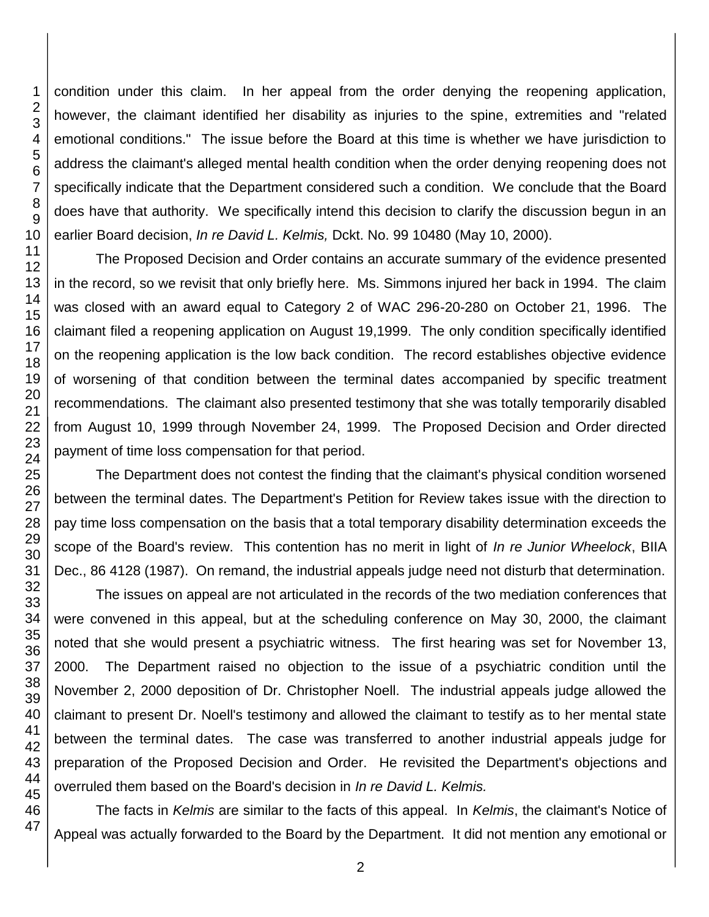condition under this claim. In her appeal from the order denying the reopening application, however, the claimant identified her disability as injuries to the spine, extremities and "related emotional conditions." The issue before the Board at this time is whether we have jurisdiction to address the claimant's alleged mental health condition when the order denying reopening does not specifically indicate that the Department considered such a condition. We conclude that the Board does have that authority. We specifically intend this decision to clarify the discussion begun in an earlier Board decision, *In re David L. Kelmis,* Dckt. No. 99 10480 (May 10, 2000).

The Proposed Decision and Order contains an accurate summary of the evidence presented in the record, so we revisit that only briefly here. Ms. Simmons injured her back in 1994. The claim was closed with an award equal to Category 2 of WAC 296-20-280 on October 21, 1996. The claimant filed a reopening application on August 19,1999. The only condition specifically identified on the reopening application is the low back condition. The record establishes objective evidence of worsening of that condition between the terminal dates accompanied by specific treatment recommendations. The claimant also presented testimony that she was totally temporarily disabled from August 10, 1999 through November 24, 1999. The Proposed Decision and Order directed payment of time loss compensation for that period.

The Department does not contest the finding that the claimant's physical condition worsened between the terminal dates. The Department's Petition for Review takes issue with the direction to pay time loss compensation on the basis that a total temporary disability determination exceeds the scope of the Board's review. This contention has no merit in light of *In re Junior Wheelock*, BIIA Dec., 86 4128 (1987). On remand, the industrial appeals judge need not disturb that determination.

The issues on appeal are not articulated in the records of the two mediation conferences that were convened in this appeal, but at the scheduling conference on May 30, 2000, the claimant noted that she would present a psychiatric witness. The first hearing was set for November 13, 2000. The Department raised no objection to the issue of a psychiatric condition until the November 2, 2000 deposition of Dr. Christopher Noell. The industrial appeals judge allowed the claimant to present Dr. Noell's testimony and allowed the claimant to testify as to her mental state between the terminal dates. The case was transferred to another industrial appeals judge for preparation of the Proposed Decision and Order. He revisited the Department's objections and overruled them based on the Board's decision in *In re David L. Kelmis.*

The facts in *Kelmis* are similar to the facts of this appeal. In *Kelmis*, the claimant's Notice of Appeal was actually forwarded to the Board by the Department. It did not mention any emotional or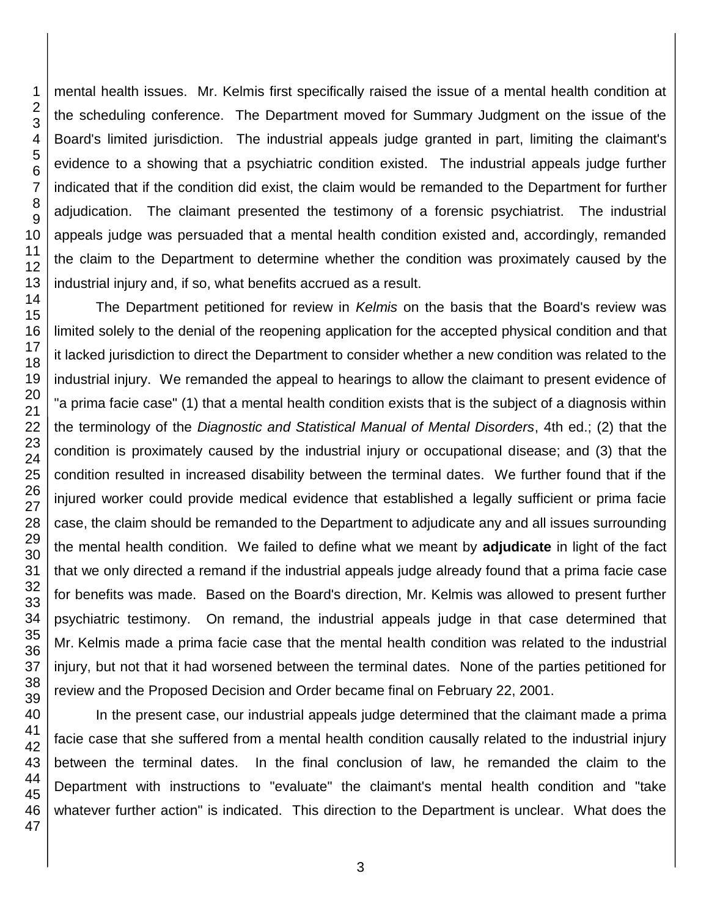mental health issues. Mr. Kelmis first specifically raised the issue of a mental health condition at the scheduling conference. The Department moved for Summary Judgment on the issue of the Board's limited jurisdiction. The industrial appeals judge granted in part, limiting the claimant's evidence to a showing that a psychiatric condition existed. The industrial appeals judge further indicated that if the condition did exist, the claim would be remanded to the Department for further adjudication. The claimant presented the testimony of a forensic psychiatrist. The industrial appeals judge was persuaded that a mental health condition existed and, accordingly, remanded the claim to the Department to determine whether the condition was proximately caused by the industrial injury and, if so, what benefits accrued as a result.

The Department petitioned for review in *Kelmis* on the basis that the Board's review was limited solely to the denial of the reopening application for the accepted physical condition and that it lacked jurisdiction to direct the Department to consider whether a new condition was related to the industrial injury. We remanded the appeal to hearings to allow the claimant to present evidence of "a prima facie case" (1) that a mental health condition exists that is the subject of a diagnosis within the terminology of the *Diagnostic and Statistical Manual of Mental Disorders*, 4th ed.; (2) that the condition is proximately caused by the industrial injury or occupational disease; and (3) that the condition resulted in increased disability between the terminal dates. We further found that if the injured worker could provide medical evidence that established a legally sufficient or prima facie case, the claim should be remanded to the Department to adjudicate any and all issues surrounding the mental health condition. We failed to define what we meant by **adjudicate** in light of the fact that we only directed a remand if the industrial appeals judge already found that a prima facie case for benefits was made. Based on the Board's direction, Mr. Kelmis was allowed to present further psychiatric testimony. On remand, the industrial appeals judge in that case determined that Mr. Kelmis made a prima facie case that the mental health condition was related to the industrial injury, but not that it had worsened between the terminal dates. None of the parties petitioned for review and the Proposed Decision and Order became final on February 22, 2001.

In the present case, our industrial appeals judge determined that the claimant made a prima facie case that she suffered from a mental health condition causally related to the industrial injury between the terminal dates. In the final conclusion of law, he remanded the claim to the Department with instructions to "evaluate" the claimant's mental health condition and "take whatever further action" is indicated. This direction to the Department is unclear. What does the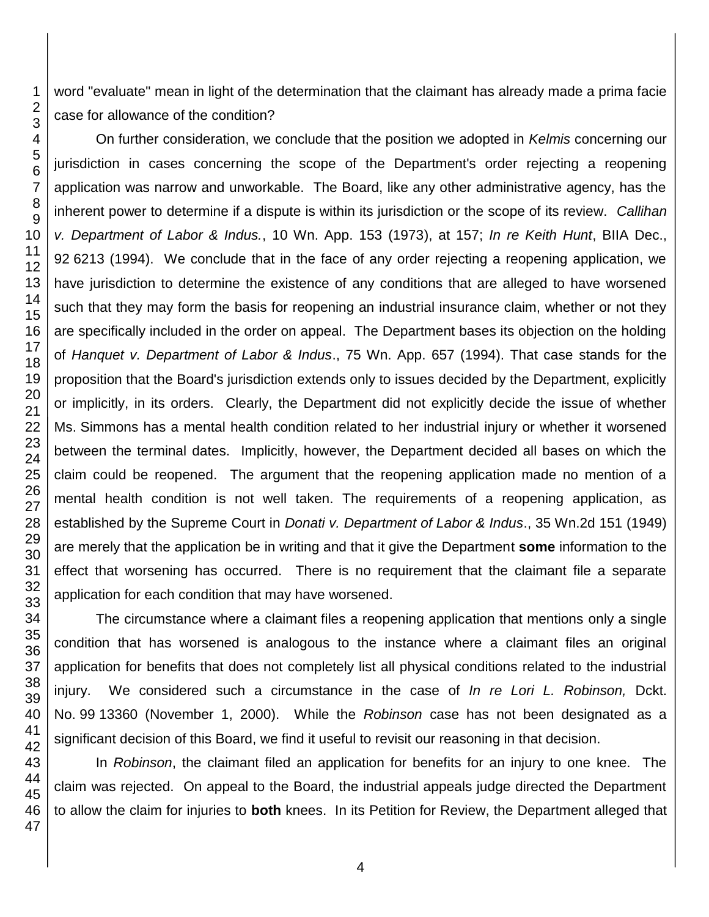word "evaluate" mean in light of the determination that the claimant has already made a prima facie case for allowance of the condition?

On further consideration, we conclude that the position we adopted in *Kelmis* concerning our jurisdiction in cases concerning the scope of the Department's order rejecting a reopening application was narrow and unworkable. The Board, like any other administrative agency, has the inherent power to determine if a dispute is within its jurisdiction or the scope of its review. *Callihan v. Department of Labor & Indus.*, 10 Wn. App. 153 (1973), at 157; *In re Keith Hunt*, BIIA Dec., 6213 (1994). We conclude that in the face of any order rejecting a reopening application, we have jurisdiction to determine the existence of any conditions that are alleged to have worsened such that they may form the basis for reopening an industrial insurance claim, whether or not they are specifically included in the order on appeal. The Department bases its objection on the holding of *Hanquet v. Department of Labor & Indus*., 75 Wn. App. 657 (1994). That case stands for the proposition that the Board's jurisdiction extends only to issues decided by the Department, explicitly or implicitly, in its orders. Clearly, the Department did not explicitly decide the issue of whether Ms. Simmons has a mental health condition related to her industrial injury or whether it worsened between the terminal dates. Implicitly, however, the Department decided all bases on which the claim could be reopened. The argument that the reopening application made no mention of a mental health condition is not well taken. The requirements of a reopening application, as established by the Supreme Court in *Donati v. Department of Labor & Indus*., 35 Wn.2d 151 (1949) are merely that the application be in writing and that it give the Department **some** information to the effect that worsening has occurred. There is no requirement that the claimant file a separate application for each condition that may have worsened.

The circumstance where a claimant files a reopening application that mentions only a single condition that has worsened is analogous to the instance where a claimant files an original application for benefits that does not completely list all physical conditions related to the industrial injury. We considered such a circumstance in the case of *In re Lori L. Robinson,* Dckt. No. 99 13360 (November 1, 2000). While the *Robinson* case has not been designated as a significant decision of this Board, we find it useful to revisit our reasoning in that decision.

In *Robinson*, the claimant filed an application for benefits for an injury to one knee. The claim was rejected. On appeal to the Board, the industrial appeals judge directed the Department to allow the claim for injuries to **both** knees. In its Petition for Review, the Department alleged that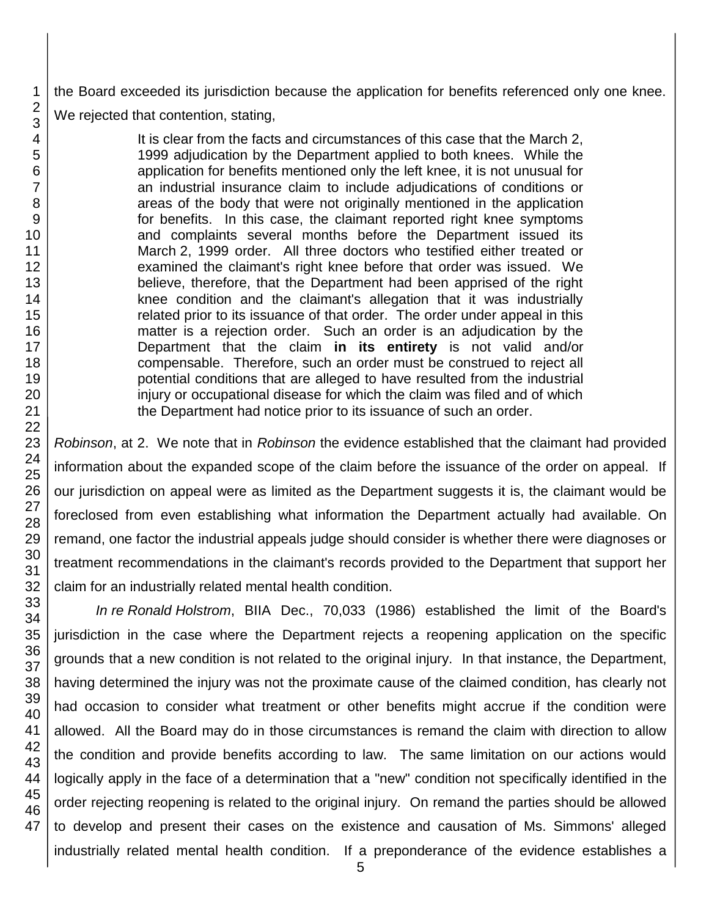the Board exceeded its jurisdiction because the application for benefits referenced only one knee. We rejected that contention, stating,

> It is clear from the facts and circumstances of this case that the March 2, 1999 adjudication by the Department applied to both knees. While the application for benefits mentioned only the left knee, it is not unusual for an industrial insurance claim to include adjudications of conditions or areas of the body that were not originally mentioned in the application for benefits. In this case, the claimant reported right knee symptoms and complaints several months before the Department issued its March 2, 1999 order. All three doctors who testified either treated or examined the claimant's right knee before that order was issued. We believe, therefore, that the Department had been apprised of the right knee condition and the claimant's allegation that it was industrially related prior to its issuance of that order. The order under appeal in this matter is a rejection order. Such an order is an adjudication by the Department that the claim **in its entirety** is not valid and/or compensable. Therefore, such an order must be construed to reject all potential conditions that are alleged to have resulted from the industrial injury or occupational disease for which the claim was filed and of which the Department had notice prior to its issuance of such an order.

*Robinson*, at 2. We note that in *Robinson* the evidence established that the claimant had provided information about the expanded scope of the claim before the issuance of the order on appeal. If our jurisdiction on appeal were as limited as the Department suggests it is, the claimant would be foreclosed from even establishing what information the Department actually had available. On remand, one factor the industrial appeals judge should consider is whether there were diagnoses or treatment recommendations in the claimant's records provided to the Department that support her claim for an industrially related mental health condition.

*In re Ronald Holstrom*, BIIA Dec., 70,033 (1986) established the limit of the Board's jurisdiction in the case where the Department rejects a reopening application on the specific grounds that a new condition is not related to the original injury. In that instance, the Department, having determined the injury was not the proximate cause of the claimed condition, has clearly not had occasion to consider what treatment or other benefits might accrue if the condition were allowed. All the Board may do in those circumstances is remand the claim with direction to allow the condition and provide benefits according to law. The same limitation on our actions would logically apply in the face of a determination that a "new" condition not specifically identified in the order rejecting reopening is related to the original injury. On remand the parties should be allowed to develop and present their cases on the existence and causation of Ms. Simmons' alleged industrially related mental health condition. If a preponderance of the evidence establishes a